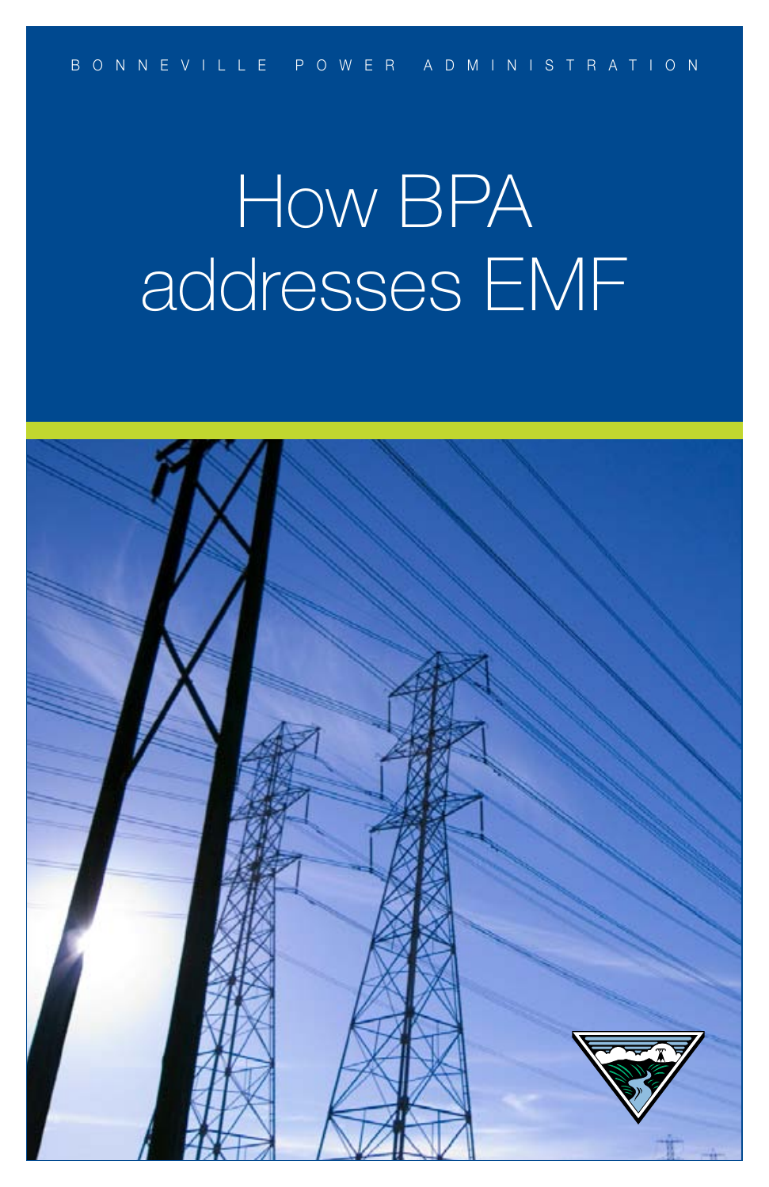# How BPA addresses EMF

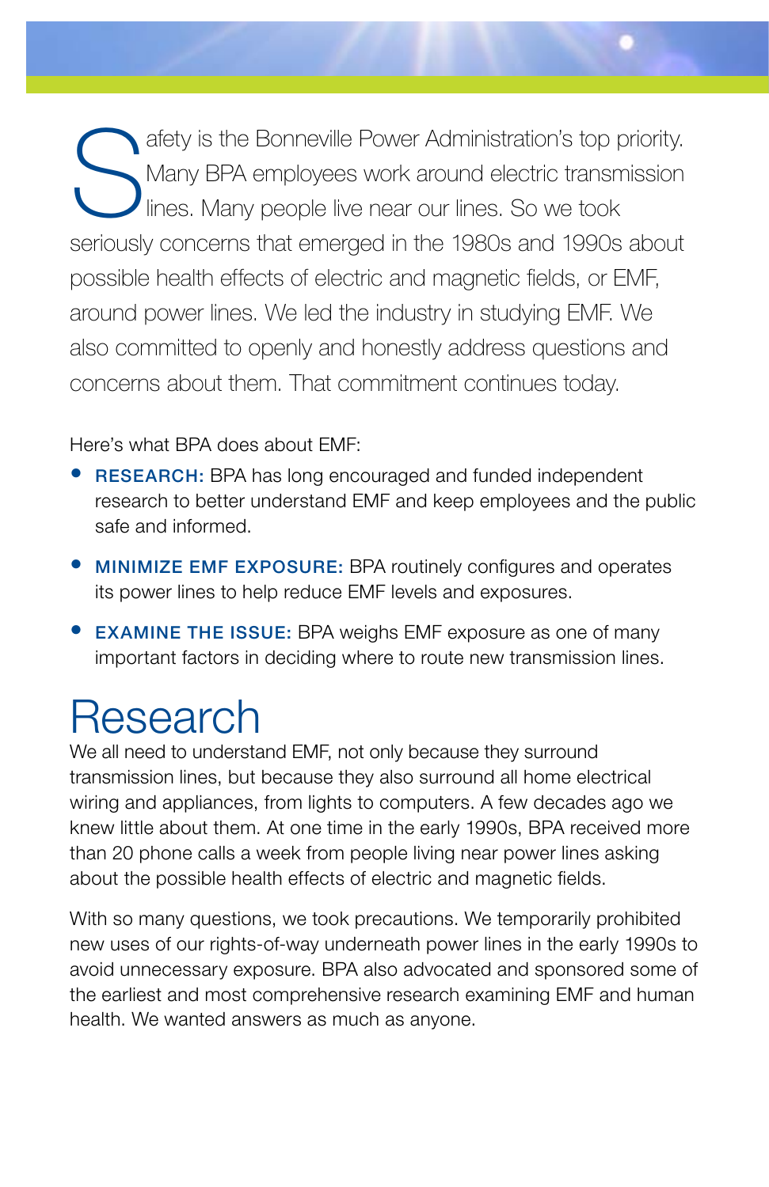Safety is the Bonneville Power Administration's top priority.<br>
Many BPA employees work around electric transmission<br>
lines. Many people live near our lines. So we took Many BPA employees work around electric transmission lines. Many people live near our lines. So we took seriously concerns that emerged in the 1980s and 1990s about possible health effects of electric and magnetic fields, or EMF, around power lines. We led the industry in studying EMF. We also committed to openly and honestly address questions and concerns about them. That commitment continues today.

#### Here's what BPA does about EMF:

- RESEARCH: BPA has long encouraged and funded independent research to better understand EMF and keep employees and the public safe and informed.
- MINIMIZE EMF EXPOSURE: BPA routinely configures and operates its power lines to help reduce EMF levels and exposures.
- **EXAMINE THE ISSUE:** BPA weighs EMF exposure as one of many important factors in deciding where to route new transmission lines.

### Research

We all need to understand EMF, not only because they surround transmission lines, but because they also surround all home electrical wiring and appliances, from lights to computers. A few decades ago we knew little about them. At one time in the early 1990s, BPA received more than 20 phone calls a week from people living near power lines asking about the possible health effects of electric and magnetic fields.

With so many questions, we took precautions. We temporarily prohibited new uses of our rights-of-way underneath power lines in the early 1990s to avoid unnecessary exposure. BPA also advocated and sponsored some of the earliest and most comprehensive research examining EMF and human health. We wanted answers as much as anyone.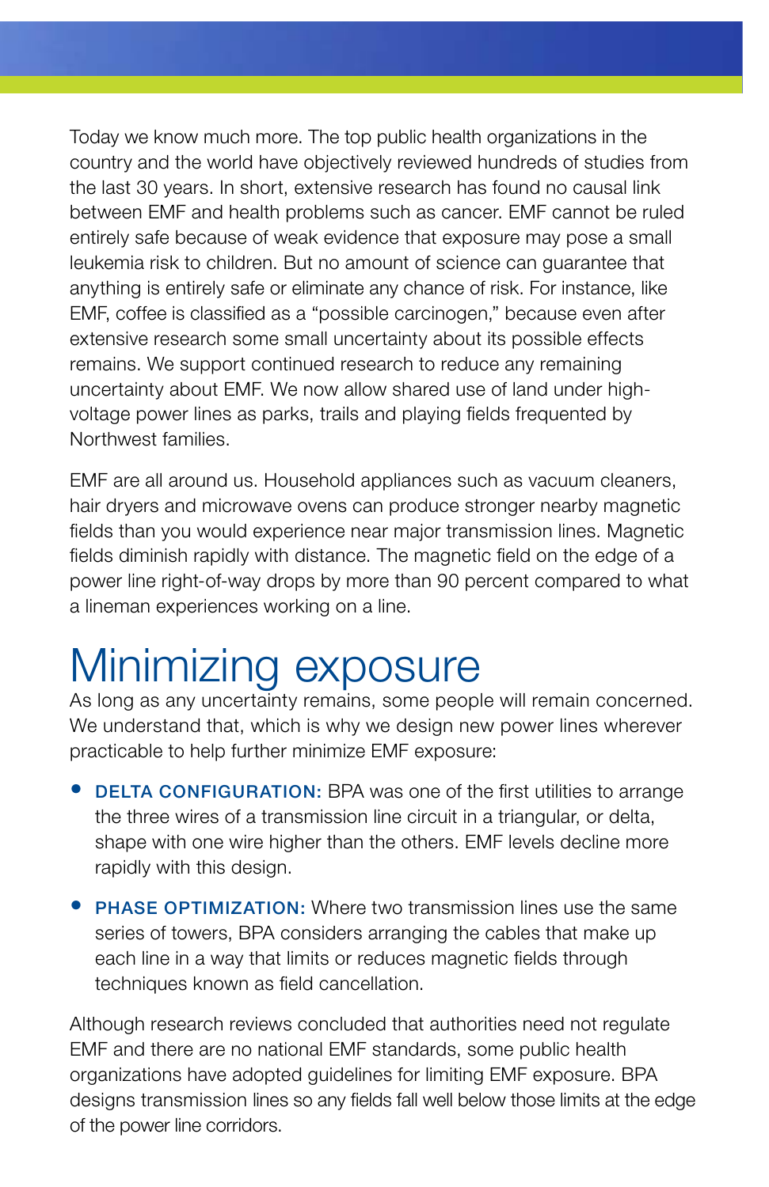Today we know much more. The top public health organizations in the country and the world have objectively reviewed hundreds of studies from the last 30 years. In short, extensive research has found no causal link between EMF and health problems such as cancer. EMF cannot be ruled entirely safe because of weak evidence that exposure may pose a small leukemia risk to children. But no amount of science can guarantee that anything is entirely safe or eliminate any chance of risk. For instance, like EMF, coffee is classified as a "possible carcinogen," because even after extensive research some small uncertainty about its possible effects remains. We support continued research to reduce any remaining uncertainty about EMF. We now allow shared use of land under highvoltage power lines as parks, trails and playing fields frequented by Northwest families.

EMF are all around us. Household appliances such as vacuum cleaners, hair dryers and microwave ovens can produce stronger nearby magnetic fields than you would experience near major transmission lines. Magnetic fields diminish rapidly with distance. The magnetic field on the edge of a power line right-of-way drops by more than 90 percent compared to what a lineman experiences working on a line.

# Minimizing exposure

As long as any uncertainty remains, some people will remain concerned. We understand that, which is why we design new power lines wherever practicable to help further minimize EMF exposure:

- DELTA CONFIGURATION: BPA was one of the first utilities to arrange the three wires of a transmission line circuit in a triangular, or delta, shape with one wire higher than the others. EMF levels decline more rapidly with this design.
- PHASE OPTIMIZATION: Where two transmission lines use the same series of towers, BPA considers arranging the cables that make up each line in a way that limits or reduces magnetic fields through techniques known as field cancellation.

Although research reviews concluded that authorities need not regulate EMF and there are no national EMF standards, some public health organizations have adopted guidelines for limiting EMF exposure. BPA designs transmission lines so any fields fall well below those limits at the edge of the power line corridors.